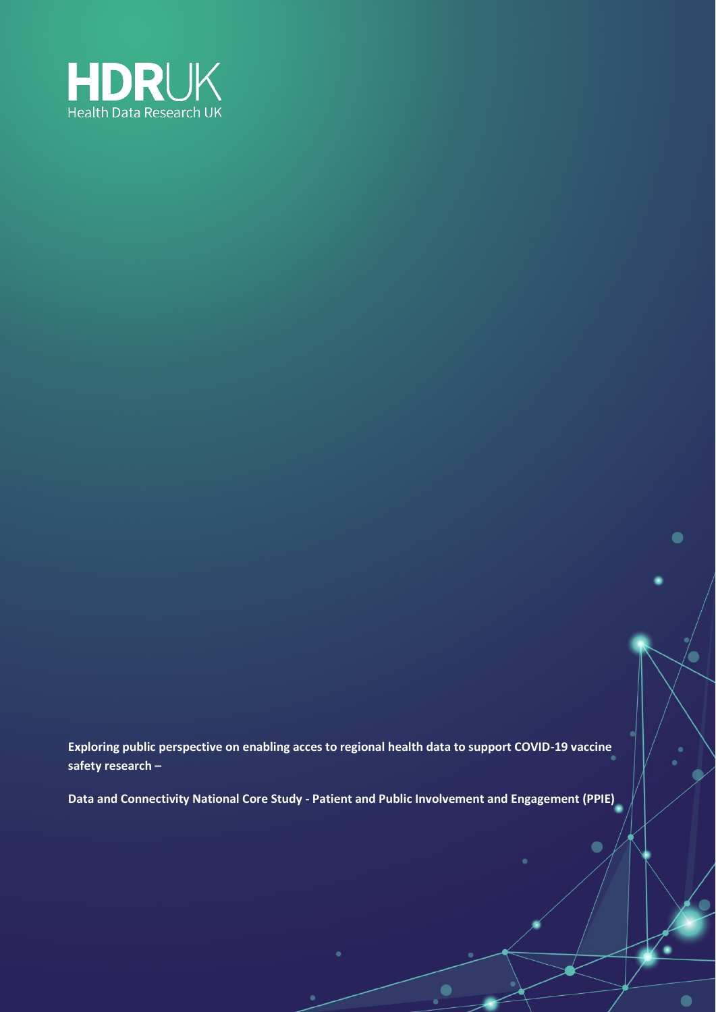

**Exploring public perspective on enabling acces to regional health data to support COVID-19 vaccine safety research –**

 $\bullet$ 

 $\bullet$ 

 $\bullet$ 

 $\bullet$ 

**Data and Connectivity National Core Study - Patient and Public Involvement and Engagement (PPIE)**

 $\bullet$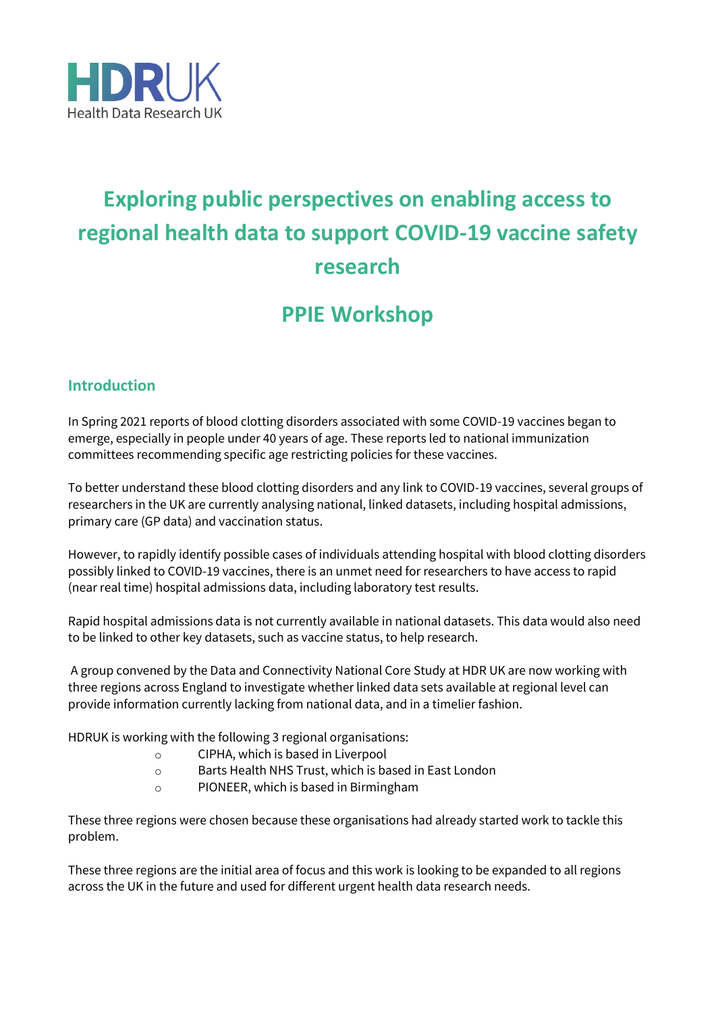

# **Exploring public perspectives on enabling access to regional health data to support COVID-19 vaccine safety research**

# **PPIE Workshop**

# **Introduction**

In Spring 2021 reports of blood clotting disorders associated with some COVID-19 vaccines began to emerge, especially in people under 40 years of age. These reports led to national immunization committees recommending specific age restricting policies for these vaccines.

To better understand these blood clotting disorders and any link to COVID-19 vaccines, several groups of researchers in the UK are currently analysing national, linked datasets, including hospital admissions, primary care (GP data) and vaccination status.

However, to rapidly identify possible cases of individuals attending hospital with blood clotting disorders possibly linked to COVID-19 vaccines, there is an unmet need for researchers to have access to rapid (near real time) hospital admissions data, including laboratory test results.

Rapid hospital admissions data is not currently available in national datasets. This data would also need to be linked to other key datasets, such as vaccine status, to help research.

A group convened by the Data and Connectivity National Core Study at HDR UK are now working with three regions across England to investigate whether linked data sets available at regional level can provide information currently lacking from national data, and in a timelier fashion.

HDRUK is working with the following 3 regional organisations:

- o CIPHA, which is based in Liverpool
- o Barts Health NHS Trust, which is based in East London
- o PIONEER, which is based in Birmingham

These three regions were chosen because these organisations had already started work to tackle this problem.

These three regions are the initial area of focus and this work is looking to be expanded to all regions across the UK in the future and used for different urgent health data research needs.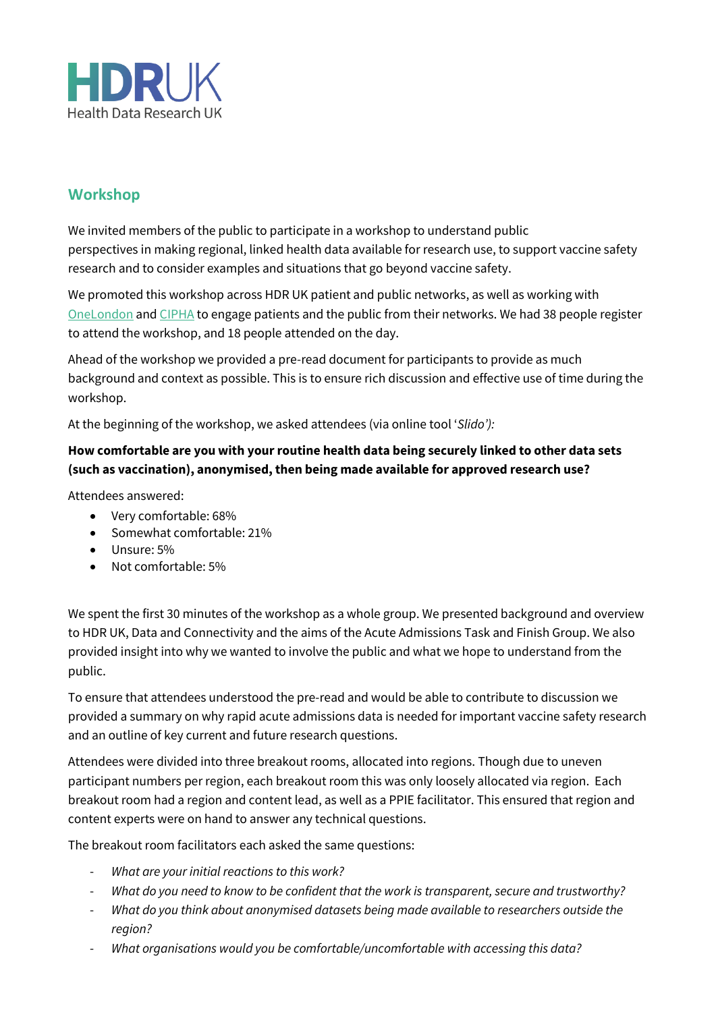

# **Workshop**

We invited members of the public to participate in a workshop to understand public perspectives in making regional, linked health data available for research use, to support vaccine safety research and to consider examples and situations that go beyond vaccine safety.

We promoted this workshop across HDR UK patient and public networks, as well as working with [OneLondon](https://www.onelondon.online/) and [CIPHA](https://www.cipha.nhs.uk/) to engage patients and the public from their networks. We had 38 people register to attend the workshop, and 18 people attended on the day.

Ahead of the workshop we provided a pre-read document for participants to provide as much background and context as possible. This is to ensure rich discussion and effective use of time during the workshop.

At the beginning of the workshop, we asked attendees (via online tool '*Slido'):* 

# **How comfortable are you with your routine health data being securely linked to other data sets (such as vaccination), anonymised, then being made available for approved research use?**

Attendees answered:

- Very comfortable: 68%
- Somewhat comfortable: 21%
- Unsure: 5%
- Not comfortable: 5%

We spent the first 30 minutes of the workshop as a whole group. We presented background and overview to HDR UK, Data and Connectivity and the aims of the Acute Admissions Task and Finish Group. We also provided insight into why we wanted to involve the public and what we hope to understand from the public.

To ensure that attendees understood the pre-read and would be able to contribute to discussion we provided a summary on why rapid acute admissions data is needed for important vaccine safety research and an outline of key current and future research questions.

Attendees were divided into three breakout rooms, allocated into regions. Though due to uneven participant numbers per region, each breakout room this was only loosely allocated via region. Each breakout room had a region and content lead, as well as a PPIE facilitator. This ensured that region and content experts were on hand to answer any technical questions.

The breakout room facilitators each asked the same questions:

- *What are your initial reactions to this work?*
- *What do you need to know to be confident that the work is transparent, secure and trustworthy?*
- *What do you think about anonymised datasets being made available to researchers outside the region?*
- *What organisations would you be comfortable/uncomfortable with accessing this data?*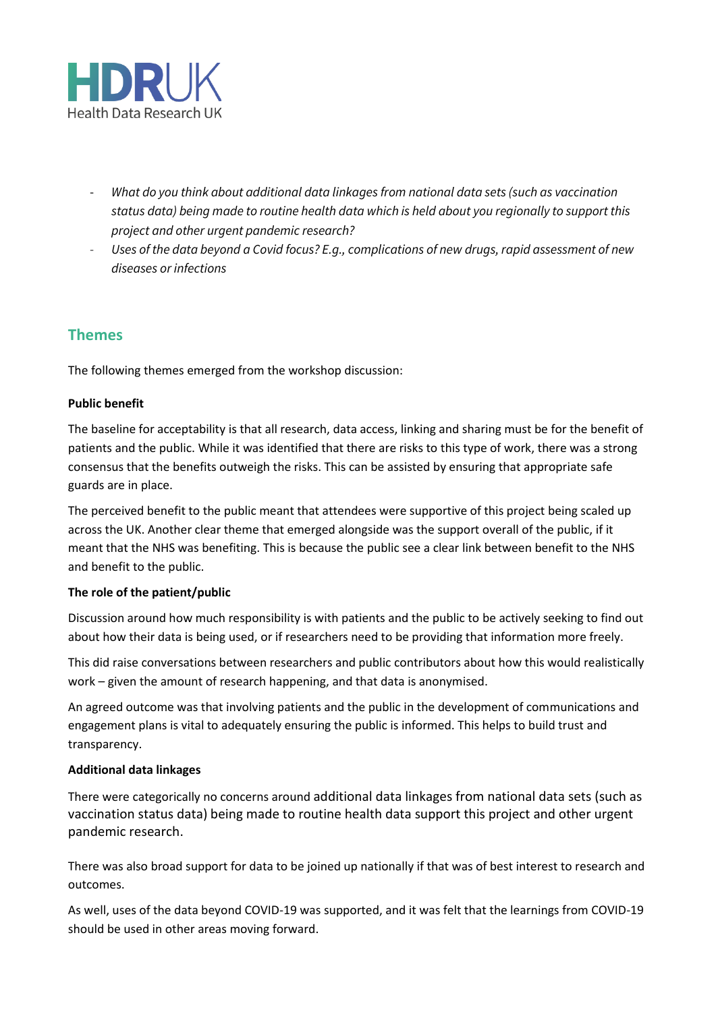

- *What do you think about additional data linkages from national data sets (such as vaccination status data) being made to routine health data which is held about you regionally to support this project and other urgent pandemic research?*
- *Uses of the data beyond a Covid focus? E.g., complications of new drugs, rapid assessment of new diseases or infections*

# **Themes**

The following themes emerged from the workshop discussion:

#### **Public benefit**

The baseline for acceptability is that all research, data access, linking and sharing must be for the benefit of patients and the public. While it was identified that there are risks to this type of work, there was a strong consensus that the benefits outweigh the risks. This can be assisted by ensuring that appropriate safe guards are in place.

The perceived benefit to the public meant that attendees were supportive of this project being scaled up across the UK. Another clear theme that emerged alongside was the support overall of the public, if it meant that the NHS was benefiting. This is because the public see a clear link between benefit to the NHS and benefit to the public.

#### **The role of the patient/public**

Discussion around how much responsibility is with patients and the public to be actively seeking to find out about how their data is being used, or if researchers need to be providing that information more freely.

This did raise conversations between researchers and public contributors about how this would realistically work – given the amount of research happening, and that data is anonymised.

An agreed outcome was that involving patients and the public in the development of communications and engagement plans is vital to adequately ensuring the public is informed. This helps to build trust and transparency.

#### **Additional data linkages**

There were categorically no concerns around additional data linkages from national data sets (such as vaccination status data) being made to routine health data support this project and other urgent pandemic research.

There was also broad support for data to be joined up nationally if that was of best interest to research and outcomes.

As well, uses of the data beyond COVID-19 was supported, and it was felt that the learnings from COVID-19 should be used in other areas moving forward.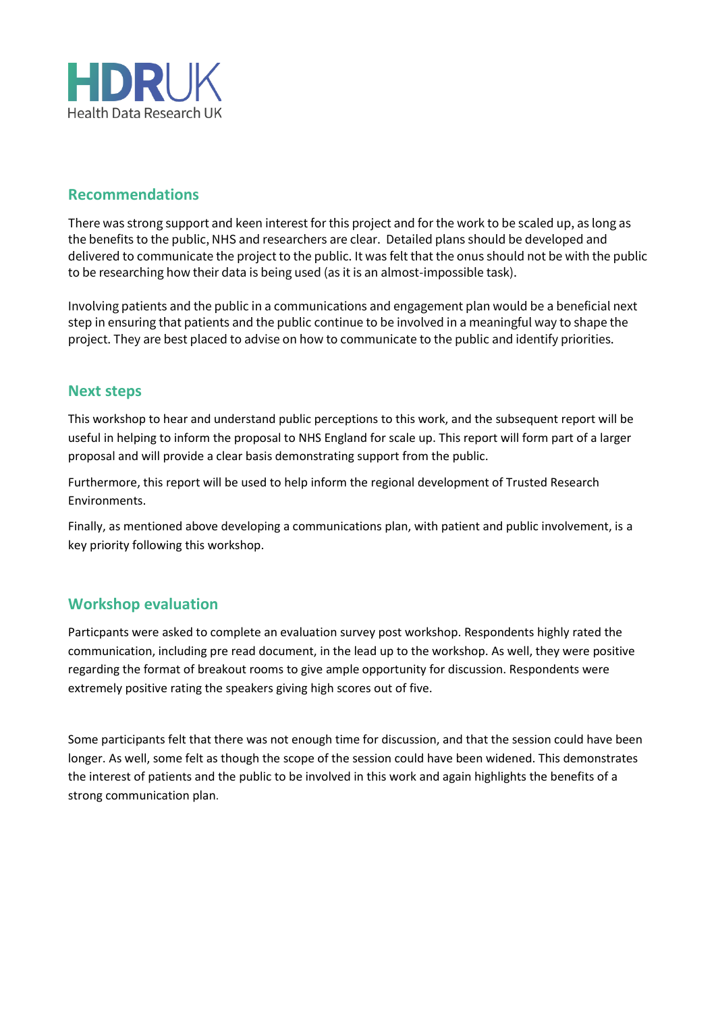

# **Recommendations**

There was strong support and keen interest for this project and for the work to be scaled up, as long as the benefits to the public, NHS and researchers are clear. Detailed plans should be developed and delivered to communicate the project to the public. It was felt that the onus should not be with the public to be researching how their data is being used (as it is an almost-impossible task).

Involving patients and the public in a communications and engagement plan would be a beneficial next step in ensuring that patients and the public continue to be involved in a meaningful way to shape the project. They are best placed to advise on how to communicate to the public and identify priorities.

#### **Next steps**

This workshop to hear and understand public perceptions to this work, and the subsequent report will be useful in helping to inform the proposal to NHS England for scale up. This report will form part of a larger proposal and will provide a clear basis demonstrating support from the public.

Furthermore, this report will be used to help inform the regional development of Trusted Research Environments.

Finally, as mentioned above developing a communications plan, with patient and public involvement, is a key priority following this workshop.

# **Workshop evaluation**

Particpants were asked to complete an evaluation survey post workshop. Respondents highly rated the communication, including pre read document, in the lead up to the workshop. As well, they were positive regarding the format of breakout rooms to give ample opportunity for discussion. Respondents were extremely positive rating the speakers giving high scores out of five.

Some participants felt that there was not enough time for discussion, and that the session could have been longer. As well, some felt as though the scope of the session could have been widened. This demonstrates the interest of patients and the public to be involved in this work and again highlights the benefits of a strong communication plan.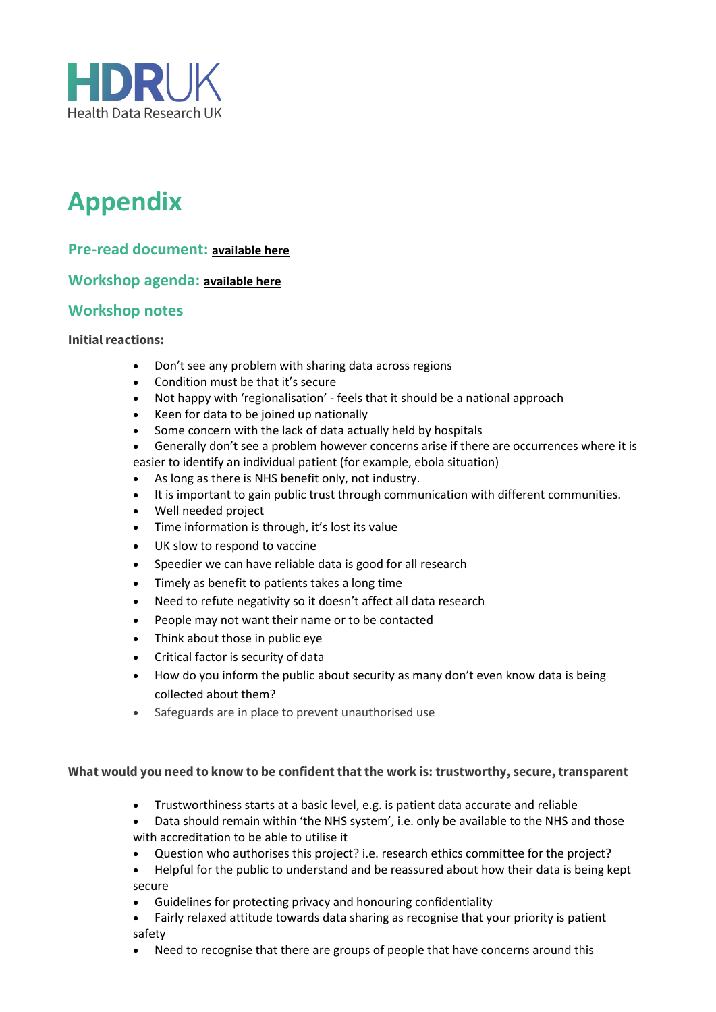

# **Appendix**

### **Pre-read document: [available here](https://www.hdruk.ac.uk/wp-content/uploads/2022/02/Pre-read_Vaccines-Workshop.pdf)**

**Workshop agenda: [available here](https://www.hdruk.ac.uk/wp-content/uploads/2022/02/Acute-Admissions-PPIE-workshop-Agenda.pdf)**

### **Workshop notes**

#### **Initial reactions:**

- Don't see any problem with sharing data across regions
- Condition must be that it's secure
- Not happy with 'regionalisation' feels that it should be a national approach
- Keen for data to be joined up nationally
- Some concern with the lack of data actually held by hospitals
- Generally don't see a problem however concerns arise if there are occurrences where it is easier to identify an individual patient (for example, ebola situation)
- As long as there is NHS benefit only, not industry.
- It is important to gain public trust through communication with different communities.
- Well needed project
- Time information is through, it's lost its value
- UK slow to respond to vaccine
- Speedier we can have reliable data is good for all research
- Timely as benefit to patients takes a long time
- Need to refute negativity so it doesn't affect all data research
- People may not want their name or to be contacted
- Think about those in public eve
- Critical factor is security of data
- How do you inform the public about security as many don't even know data is being collected about them?
- Safeguards are in place to prevent unauthorised use

#### **What would you need to know to be confident that the work is: trustworthy, secure, transparent**

- Trustworthiness starts at a basic level, e.g. is patient data accurate and reliable
- Data should remain within 'the NHS system', i.e. only be available to the NHS and those with accreditation to be able to utilise it
- Question who authorises this project? i.e. research ethics committee for the project?
- Helpful for the public to understand and be reassured about how their data is being kept secure
- Guidelines for protecting privacy and honouring confidentiality
- Fairly relaxed attitude towards data sharing as recognise that your priority is patient safety
- Need to recognise that there are groups of people that have concerns around this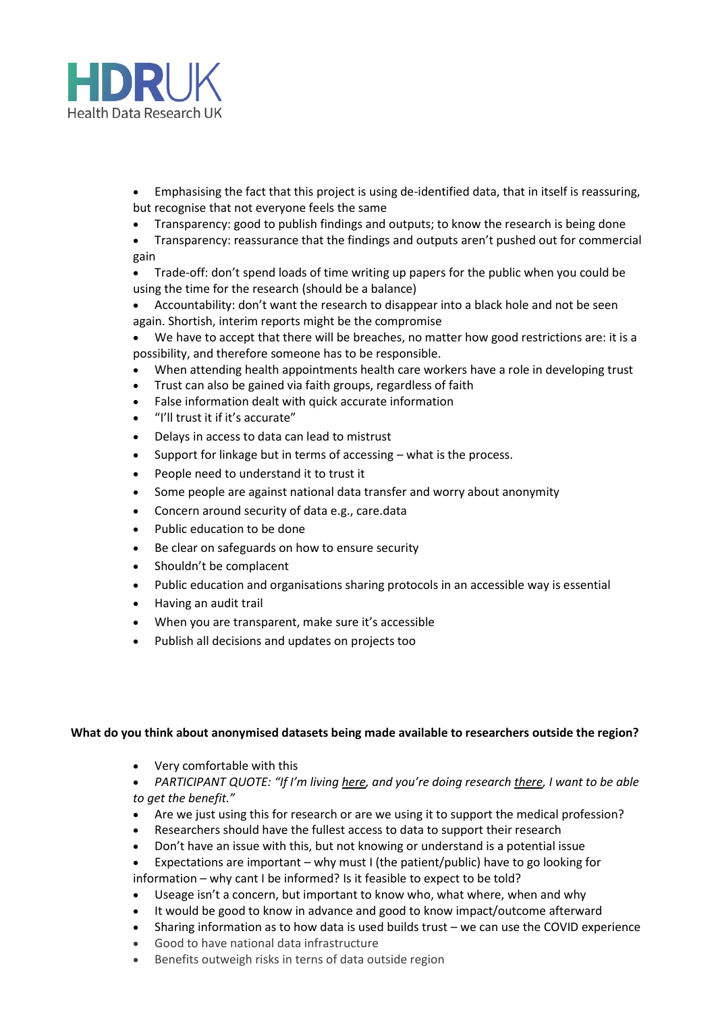

- Emphasising the fact that this project is using de-identified data, that in itself is reassuring, but recognise that not everyone feels the same
- Transparency: good to publish findings and outputs; to know the research is being done
- Transparency: reassurance that the findings and outputs aren't pushed out for commercial gain
- Trade-off: don't spend loads of time writing up papers for the public when you could be using the time for the research (should be a balance)
- Accountability: don't want the research to disappear into a black hole and not be seen again. Shortish, interim reports might be the compromise
- We have to accept that there will be breaches, no matter how good restrictions are: it is a possibility, and therefore someone has to be responsible.
- When attending health appointments health care workers have a role in developing trust
- Trust can also be gained via faith groups, regardless of faith
- False information dealt with quick accurate information
- "I'll trust it if it's accurate"
- Delays in access to data can lead to mistrust
- Support for linkage but in terms of accessing what is the process.
- People need to understand it to trust it
- Some people are against national data transfer and worry about anonymity
- Concern around security of data e.g., care.data
- Public education to be done
- Be clear on safeguards on how to ensure security
- Shouldn't be complacent
- Public education and organisations sharing protocols in an accessible way is essential
- Having an audit trail
- When you are transparent, make sure it's accessible
- Publish all decisions and updates on projects too

#### **What do you think about anonymised datasets being made available to researchers outside the region?**

• Very comfortable with this

• *PARTICIPANT QUOTE: "If I'm living here, and you're doing research there, I want to be able to get the benefit."*

- Are we just using this for research or are we using it to support the medical profession?
- Researchers should have the fullest access to data to support their research
- Don't have an issue with this, but not knowing or understand is a potential issue
- Expectations are important why must I (the patient/public) have to go looking for information – why cant I be informed? Is it feasible to expect to be told?
- Useage isn't a concern, but important to know who, what where, when and why
- It would be good to know in advance and good to know impact/outcome afterward
- Sharing information as to how data is used builds trust we can use the COVID experience
- Good to have national data infrastructure
- Benefits outweigh risks in terns of data outside region